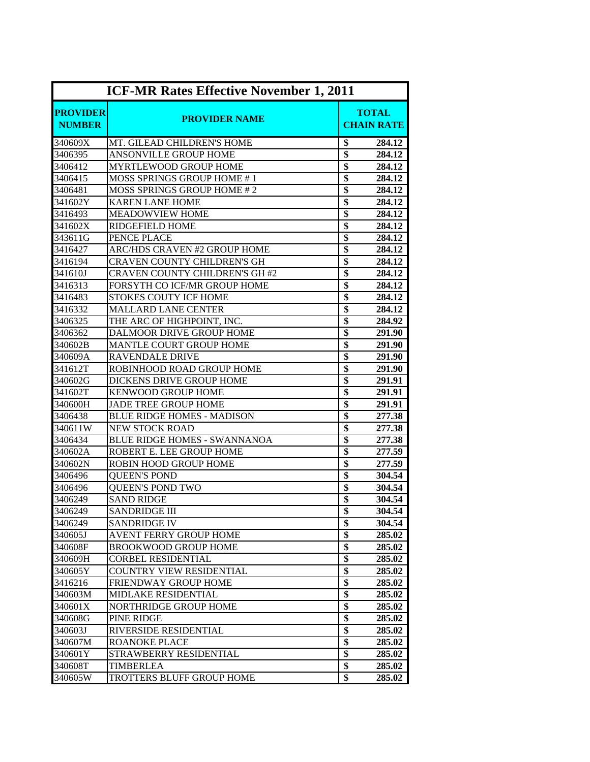| <b>ICF-MR Rates Effective November 1, 2011</b> |                                       |                                   |        |
|------------------------------------------------|---------------------------------------|-----------------------------------|--------|
| <b>PROVIDER</b><br><b>NUMBER</b>               | <b>PROVIDER NAME</b>                  | <b>TOTAL</b><br><b>CHAIN RATE</b> |        |
| 340609X                                        | MT. GILEAD CHILDREN'S HOME            | \$                                | 284.12 |
| 3406395                                        | ANSONVILLE GROUP HOME                 | \$                                | 284.12 |
| 3406412                                        | MYRTLEWOOD GROUP HOME                 | \$                                | 284.12 |
| 3406415                                        | <b>MOSS SPRINGS GROUP HOME #1</b>     | \$                                | 284.12 |
| 3406481                                        | <b>MOSS SPRINGS GROUP HOME #2</b>     | \$                                | 284.12 |
| 341602Y                                        | <b>KAREN LANE HOME</b>                | $\overline{\$}$                   | 284.12 |
| 3416493                                        | <b>MEADOWVIEW HOME</b>                | \$                                | 284.12 |
| 341602X                                        | <b>RIDGEFIELD HOME</b>                | $\overline{\$}$                   | 284.12 |
| 343611G                                        | PENCE PLACE                           | \$                                | 284.12 |
| 3416427                                        | ARC/HDS CRAVEN #2 GROUP HOME          | \$                                | 284.12 |
| 3416194                                        | <b>CRAVEN COUNTY CHILDREN'S GH</b>    | $\overline{\$}$                   | 284.12 |
| 341610J                                        | <b>CRAVEN COUNTY CHILDREN'S GH #2</b> | $\overline{\$}$                   | 284.12 |
| 3416313                                        | FORSYTH CO ICF/MR GROUP HOME          | $\overline{\$}$                   | 284.12 |
| 3416483                                        | STOKES COUTY ICF HOME                 | $\overline{\$}$                   | 284.12 |
| 3416332                                        | <b>MALLARD LANE CENTER</b>            | \$                                | 284.12 |
| 3406325                                        | THE ARC OF HIGHPOINT, INC.            | $\overline{\$}$                   | 284.92 |
| 3406362                                        | <b>DALMOOR DRIVE GROUP HOME</b>       | \$                                | 291.90 |
| 340602B                                        | <b>MANTLE COURT GROUP HOME</b>        | $\overline{\$}$                   | 291.90 |
| 340609A                                        | RAVENDALE DRIVE                       | \$                                | 291.90 |
| 341612T                                        | ROBINHOOD ROAD GROUP HOME             | \$                                | 291.90 |
| 340602G                                        | DICKENS DRIVE GROUP HOME              | $\overline{\$}$                   | 291.91 |
| 341602T                                        | <b>KENWOOD GROUP HOME</b>             | $\overline{\$}$                   | 291.91 |
| 340600H                                        | <b>JADE TREE GROUP HOME</b>           | \$                                | 291.91 |
| 3406438                                        | <b>BLUE RIDGE HOMES - MADISON</b>     | $\overline{\$}$                   | 277.38 |
| 340611W                                        | <b>NEW STOCK ROAD</b>                 | \$                                | 277.38 |
| 3406434                                        | <b>BLUE RIDGE HOMES - SWANNANOA</b>   | \$                                | 277.38 |
| 340602A                                        | ROBERT E. LEE GROUP HOME              | \$                                | 277.59 |
| 340602N                                        | ROBIN HOOD GROUP HOME                 | $\overline{\$}$                   | 277.59 |
| 3406496                                        | <b>OUEEN'S POND</b>                   | $\overline{\$}$                   | 304.54 |
| 3406496                                        | <b>QUEEN'S POND TWO</b>               | $\overline{\$}$                   | 304.54 |
| 3406249                                        | <b>SAND RIDGE</b>                     | $\overline{\$}$                   | 304.54 |
| 3406249                                        | <b>SANDRIDGE III</b>                  | \$                                | 304.54 |
| 3406249                                        | SANDRIDGE IV                          | \$                                | 304.54 |
| 340605J                                        | AVENT FERRY GROUP HOME                | \$                                | 285.02 |
| 340608F                                        | BROOKWOOD GROUP HOME                  | \$                                | 285.02 |
| 340609H                                        | <b>CORBEL RESIDENTIAL</b>             | \$                                | 285.02 |
| 340605Y                                        | <b>COUNTRY VIEW RESIDENTIAL</b>       | $\overline{\$}$                   | 285.02 |
| 3416216                                        | <b>FRIENDWAY GROUP HOME</b>           | \$                                | 285.02 |
| 340603M                                        | MIDLAKE RESIDENTIAL                   | \$                                | 285.02 |
| 340601X                                        | <b>NORTHRIDGE GROUP HOME</b>          | \$                                | 285.02 |
| 340608G                                        | PINE RIDGE                            | \$                                | 285.02 |
| 340603J                                        | RIVERSIDE RESIDENTIAL                 | \$                                | 285.02 |
| 340607M                                        | <b>ROANOKE PLACE</b>                  | \$                                | 285.02 |
| 340601Y                                        | STRAWBERRY RESIDENTIAL                | \$                                | 285.02 |
| 340608T                                        | TIMBERLEA                             | \$                                | 285.02 |
| 340605W                                        | TROTTERS BLUFF GROUP HOME             | $\overline{\$}$                   | 285.02 |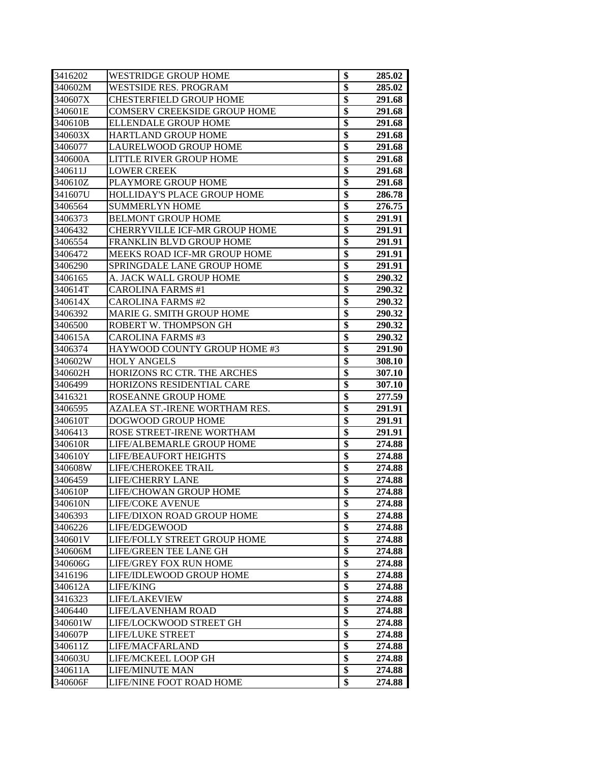| 3416202 | <b>WESTRIDGE GROUP HOME</b>          | \$              | 285.02 |
|---------|--------------------------------------|-----------------|--------|
| 340602M | <b>WESTSIDE RES. PROGRAM</b>         | \$              | 285.02 |
| 340607X | <b>CHESTERFIELD GROUP HOME</b>       | $\overline{\$}$ | 291.68 |
| 340601E | <b>COMSERV CREEKSIDE GROUP HOME</b>  | $\overline{\$}$ | 291.68 |
| 340610B | <b>ELLENDALE GROUP HOME</b>          | \$              | 291.68 |
| 340603X | <b>HARTLAND GROUP HOME</b>           | $\overline{\$}$ | 291.68 |
| 3406077 | LAURELWOOD GROUP HOME                | $\overline{\$}$ | 291.68 |
| 340600A | LITTLE RIVER GROUP HOME              | \$              | 291.68 |
| 340611J | <b>LOWER CREEK</b>                   | $\overline{\$}$ | 291.68 |
| 340610Z | PLAYMORE GROUP HOME                  | \$              | 291.68 |
| 341607U | HOLLIDAY'S PLACE GROUP HOME          | $\overline{\$}$ | 286.78 |
| 3406564 | <b>SUMMERLYN HOME</b>                | $\overline{\$}$ | 276.75 |
| 3406373 | <b>BELMONT GROUP HOME</b>            | $\overline{\$}$ | 291.91 |
| 3406432 | <b>CHERRYVILLE ICF-MR GROUP HOME</b> | \$              | 291.91 |
| 3406554 | <b>FRANKLIN BLVD GROUP HOME</b>      | $\overline{\$}$ | 291.91 |
| 3406472 | <b>MEEKS ROAD ICF-MR GROUP HOME</b>  | $\overline{\$}$ | 291.91 |
| 3406290 | SPRINGDALE LANE GROUP HOME           | $\overline{\$}$ | 291.91 |
| 3406165 | A. JACK WALL GROUP HOME              | \$              | 290.32 |
| 340614T | <b>CAROLINA FARMS #1</b>             | $\overline{\$}$ | 290.32 |
| 340614X | <b>CAROLINA FARMS #2</b>             | \$              | 290.32 |
| 3406392 | MARIE G. SMITH GROUP HOME            | \$              | 290.32 |
| 3406500 | ROBERT W. THOMPSON GH                | \$              | 290.32 |
| 340615A | <b>CAROLINA FARMS #3</b>             | \$              | 290.32 |
| 3406374 | HAYWOOD COUNTY GROUP HOME #3         | \$              | 291.90 |
| 340602W | <b>HOLY ANGELS</b>                   | $\overline{\$}$ | 308.10 |
| 340602H | HORIZONS RC CTR. THE ARCHES          | \$              | 307.10 |
| 3406499 | HORIZONS RESIDENTIAL CARE            | $\overline{\$}$ | 307.10 |
| 3416321 | <b>ROSEANNE GROUP HOME</b>           | $\overline{\$}$ | 277.59 |
| 3406595 | AZALEA ST.-IRENE WORTHAM RES.        | $\overline{\$}$ | 291.91 |
| 340610T | DOGWOOD GROUP HOME                   | $\overline{\$}$ | 291.91 |
| 3406413 | ROSE STREET-IRENE WORTHAM            | $\overline{\$}$ | 291.91 |
| 340610R | LIFE/ALBEMARLE GROUP HOME            | $\overline{\$}$ | 274.88 |
| 340610Y | <b>LIFE/BEAUFORT HEIGHTS</b>         | $\overline{\$}$ | 274.88 |
| 340608W | LIFE/CHEROKEE TRAIL                  | $\overline{\$}$ | 274.88 |
| 3406459 | <b>LIFE/CHERRY LANE</b>              | \$              | 274.88 |
| 340610P | LIFE/CHOWAN GROUP HOME               | $\overline{\$}$ | 274.88 |
| 340610N | <b>LIFE/COKE AVENUE</b>              | Þ               | 274.88 |
| 3406393 | LIFE/DIXON ROAD GROUP HOME           | \$              | 274.88 |
| 3406226 | LIFE/EDGEWOOD                        | \$              | 274.88 |
| 340601V | LIFE/FOLLY STREET GROUP HOME         | \$              | 274.88 |
| 340606M | LIFE/GREEN TEE LANE GH               | \$              | 274.88 |
| 340606G | LIFE/GREY FOX RUN HOME               | $\overline{\$}$ | 274.88 |
| 3416196 | LIFE/IDLEWOOD GROUP HOME             | \$              | 274.88 |
| 340612A | LIFE/KING                            | $\overline{\$}$ | 274.88 |
| 3416323 | LIFE/LAKEVIEW                        | $\overline{\$}$ | 274.88 |
| 3406440 | LIFE/LAVENHAM ROAD                   | $\overline{\$}$ | 274.88 |
| 340601W | LIFE/LOCKWOOD STREET GH              | $\overline{\$}$ | 274.88 |
| 340607P | <b>LIFE/LUKE STREET</b>              | $\overline{\$}$ | 274.88 |
| 340611Z | LIFE/MACFARLAND                      | $\overline{\$}$ | 274.88 |
| 340603U | LIFE/MCKEEL LOOP GH                  | \$              | 274.88 |
| 340611A | LIFE/MINUTE MAN                      | \$              | 274.88 |
| 340606F | LIFE/NINE FOOT ROAD HOME             | \$              | 274.88 |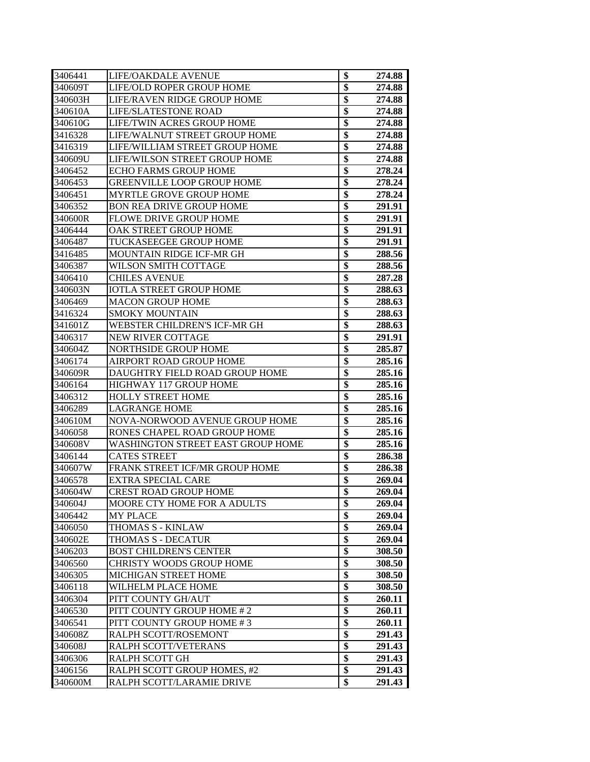| 3406441 | LIFE/OAKDALE AVENUE                      | \$              | 274.88 |
|---------|------------------------------------------|-----------------|--------|
| 340609T | LIFE/OLD ROPER GROUP HOME                | \$              | 274.88 |
| 340603H | LIFE/RAVEN RIDGE GROUP HOME              | \$              | 274.88 |
| 340610A | <b>LIFE/SLATESTONE ROAD</b>              | \$              | 274.88 |
| 340610G | LIFE/TWIN ACRES GROUP HOME               | \$              | 274.88 |
| 3416328 | LIFE/WALNUT STREET GROUP HOME            | \$              | 274.88 |
| 3416319 | LIFE/WILLIAM STREET GROUP HOME           | \$              | 274.88 |
| 340609U | LIFE/WILSON STREET GROUP HOME            | \$              | 274.88 |
| 3406452 | <b>ECHO FARMS GROUP HOME</b>             | \$              | 278.24 |
| 3406453 | <b>GREENVILLE LOOP GROUP HOME</b>        | \$              | 278.24 |
| 3406451 | <b>MYRTLE GROVE GROUP HOME</b>           | \$              | 278.24 |
| 3406352 | <b>BON REA DRIVE GROUP HOME</b>          | \$              | 291.91 |
| 340600R | <b>FLOWE DRIVE GROUP HOME</b>            | \$              | 291.91 |
| 3406444 | OAK STREET GROUP HOME                    | \$              | 291.91 |
| 3406487 | TUCKASEEGEE GROUP HOME                   | $\overline{\$}$ | 291.91 |
| 3416485 | MOUNTAIN RIDGE ICF-MR GH                 | $\overline{\$}$ | 288.56 |
| 3406387 | WILSON SMITH COTTAGE                     | $\overline{\$}$ | 288.56 |
| 3406410 | <b>CHILES AVENUE</b>                     | \$              | 287.28 |
| 340603N | <b>IOTLA STREET GROUP HOME</b>           | \$              | 288.63 |
| 3406469 | <b>MACON GROUP HOME</b>                  | \$              | 288.63 |
| 3416324 | <b>SMOKY MOUNTAIN</b>                    | \$              | 288.63 |
| 341601Z | WEBSTER CHILDREN'S ICF-MR GH             | \$              | 288.63 |
| 3406317 | <b>NEW RIVER COTTAGE</b>                 | \$              | 291.91 |
| 340604Z | <b>NORTHSIDE GROUP HOME</b>              | \$              | 285.87 |
| 3406174 | AIRPORT ROAD GROUP HOME                  | \$              | 285.16 |
| 340609R | DAUGHTRY FIELD ROAD GROUP HOME           | \$              | 285.16 |
| 3406164 | HIGHWAY 117 GROUP HOME                   | \$              | 285.16 |
| 3406312 | <b>HOLLY STREET HOME</b>                 | \$              | 285.16 |
| 3406289 | <b>LAGRANGE HOME</b>                     | \$              | 285.16 |
| 340610M | NOVA-NORWOOD AVENUE GROUP HOME           | \$              | 285.16 |
| 3406058 | RONES CHAPEL ROAD GROUP HOME             | $\overline{\$}$ | 285.16 |
| 340608V | <b>WASHINGTON STREET EAST GROUP HOME</b> | $\overline{\$}$ | 285.16 |
| 3406144 | <b>CATES STREET</b>                      | $\overline{\$}$ | 286.38 |
| 340607W | FRANK STREET ICF/MR GROUP HOME           | $\overline{\$}$ | 286.38 |
| 3406578 | EXTRA SPECIAL CARE                       | \$              | 269.04 |
| 340604W | <b>CREST ROAD GROUP HOME</b>             | \$              | 269.04 |
| 340604J | MOORE CTY HOME FOR A ADULTS              | \$              | 269.04 |
| 3406442 | MY PLACE                                 | \$              | 269.04 |
| 3406050 | THOMAS S - KINLAW                        | \$              | 269.04 |
| 340602E | THOMAS S - DECATUR                       | \$              | 269.04 |
| 3406203 | <b>BOST CHILDREN'S CENTER</b>            | \$              | 308.50 |
| 3406560 | <b>CHRISTY WOODS GROUP HOME</b>          | \$              | 308.50 |
| 3406305 | MICHIGAN STREET HOME                     | \$              | 308.50 |
| 3406118 | WILHELM PLACE HOME                       | $\overline{\$}$ | 308.50 |
| 3406304 | PITT COUNTY GH/AUT                       | \$              | 260.11 |
| 3406530 | PITT COUNTY GROUP HOME #2                | $\overline{\$}$ | 260.11 |
| 3406541 | PITT COUNTY GROUP HOME #3                | \$              | 260.11 |
| 340608Z | RALPH SCOTT/ROSEMONT                     | $\overline{\$}$ | 291.43 |
| 340608J | RALPH SCOTT/VETERANS                     | $\overline{\$}$ | 291.43 |
| 3406306 | RALPH SCOTT GH                           | $\overline{\$}$ | 291.43 |
| 3406156 | RALPH SCOTT GROUP HOMES, #2              | \$              | 291.43 |
| 340600M | RALPH SCOTT/LARAMIE DRIVE                | \$              | 291.43 |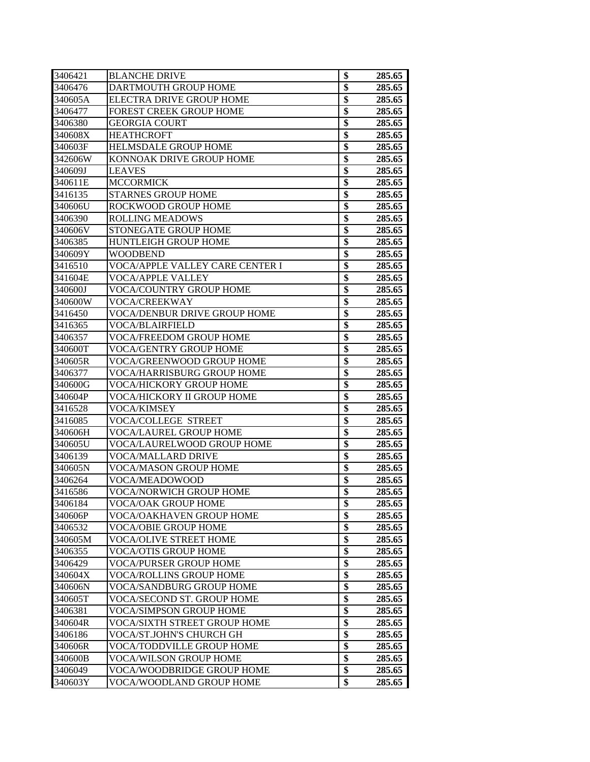| 3406421 | <b>BLANCHE DRIVE</b>                   | \$              | 285.65 |
|---------|----------------------------------------|-----------------|--------|
| 3406476 | DARTMOUTH GROUP HOME                   | \$              | 285.65 |
| 340605A | ELECTRA DRIVE GROUP HOME               | \$              | 285.65 |
| 3406477 | FOREST CREEK GROUP HOME                | \$              | 285.65 |
| 3406380 | <b>GEORGIA COURT</b>                   | \$              | 285.65 |
| 340608X | <b>HEATHCROFT</b>                      | \$              | 285.65 |
| 340603F | <b>HELMSDALE GROUP HOME</b>            | \$              | 285.65 |
| 342606W | KONNOAK DRIVE GROUP HOME               | $\overline{\$}$ | 285.65 |
| 340609J | <b>LEAVES</b>                          | $\overline{\$}$ | 285.65 |
| 340611E | <b>MCCORMICK</b>                       | $\overline{\$}$ | 285.65 |
| 3416135 | <b>STARNES GROUP HOME</b>              | $\overline{\$}$ | 285.65 |
| 340606U | ROCKWOOD GROUP HOME                    | $\overline{\$}$ | 285.65 |
| 3406390 | <b>ROLLING MEADOWS</b>                 | $\overline{\$}$ | 285.65 |
| 340606V | <b>STONEGATE GROUP HOME</b>            | $\overline{\$}$ | 285.65 |
| 3406385 | <b>HUNTLEIGH GROUP HOME</b>            | \$              | 285.65 |
| 340609Y | <b>WOODBEND</b>                        | $\overline{\$}$ | 285.65 |
| 3416510 | <b>VOCA/APPLE VALLEY CARE CENTER I</b> | $\overline{\$}$ | 285.65 |
| 341604E | <b>VOCA/APPLE VALLEY</b>               | $\overline{\$}$ | 285.65 |
| 340600J | <b>VOCA/COUNTRY GROUP HOME</b>         | \$              | 285.65 |
| 340600W | <b>VOCA/CREEKWAY</b>                   | $\overline{\$}$ | 285.65 |
| 3416450 | VOCA/DENBUR DRIVE GROUP HOME           | \$              | 285.65 |
| 3416365 | <b>VOCA/BLAIRFIELD</b>                 | $\overline{\$}$ | 285.65 |
| 3406357 | <b>VOCA/FREEDOM GROUP HOME</b>         | \$              | 285.65 |
| 340600T | <b>VOCA/GENTRY GROUP HOME</b>          | $\overline{\$}$ | 285.65 |
| 340605R | VOCA/GREENWOOD GROUP HOME              | $\overline{\$}$ | 285.65 |
| 3406377 | <b>VOCA/HARRISBURG GROUP HOME</b>      | $\overline{\$}$ | 285.65 |
| 340600G | VOCA/HICKORY GROUP HOME                | \$              | 285.65 |
| 340604P | VOCA/HICKORY II GROUP HOME             | $\overline{\$}$ | 285.65 |
| 3416528 | VOCA/KIMSEY                            | $\overline{\$}$ | 285.65 |
| 3416085 | <b>VOCA/COLLEGE STREET</b>             | \$              | 285.65 |
| 340606H | VOCA/LAUREL GROUP HOME                 | \$              | 285.65 |
| 340605U | VOCA/LAURELWOOD GROUP HOME             | $\overline{\$}$ | 285.65 |
| 3406139 | <b>VOCA/MALLARD DRIVE</b>              | \$              | 285.65 |
| 340605N | <b>VOCA/MASON GROUP HOME</b>           | $\overline{\$}$ | 285.65 |
| 3406264 | VOCA/MEADOWOOD                         | $\overline{\$}$ | 285.65 |
| 3416586 | VOCA/NORWICH GROUP HOME                | \$              | 285.65 |
| 3406184 | VOCA/OAK GROUP HOME                    | \$              | 285.65 |
| 340606P | VOCA/OAKHAVEN GROUP HOME               | \$              | 285.65 |
| 3406532 | VOCA/OBIE GROUP HOME                   | \$              | 285.65 |
| 340605M | VOCA/OLIVE STREET HOME                 | \$              | 285.65 |
| 3406355 | <b>VOCA/OTIS GROUP HOME</b>            | \$              | 285.65 |
| 3406429 | <b>VOCA/PURSER GROUP HOME</b>          | $\overline{\$}$ | 285.65 |
| 340604X | <b>VOCA/ROLLINS GROUP HOME</b>         | $\overline{\$}$ | 285.65 |
| 340606N | VOCA/SANDBURG GROUP HOME               | \$              | 285.65 |
| 340605T | VOCA/SECOND ST. GROUP HOME             | $\overline{\$}$ | 285.65 |
| 3406381 | <b>VOCA/SIMPSON GROUP HOME</b>         | \$              | 285.65 |
| 340604R | VOCA/SIXTH STREET GROUP HOME           | $\overline{\$}$ | 285.65 |
| 3406186 | VOCA/ST.JOHN'S CHURCH GH               | \$              | 285.65 |
| 340606R | VOCA/TODDVILLE GROUP HOME              | $\overline{\$}$ | 285.65 |
| 340600B | VOCA/WILSON GROUP HOME                 | $\overline{\$}$ | 285.65 |
| 3406049 | VOCA/WOODBRIDGE GROUP HOME             | $\overline{\$}$ | 285.65 |
| 340603Y | VOCA/WOODLAND GROUP HOME               | \$              | 285.65 |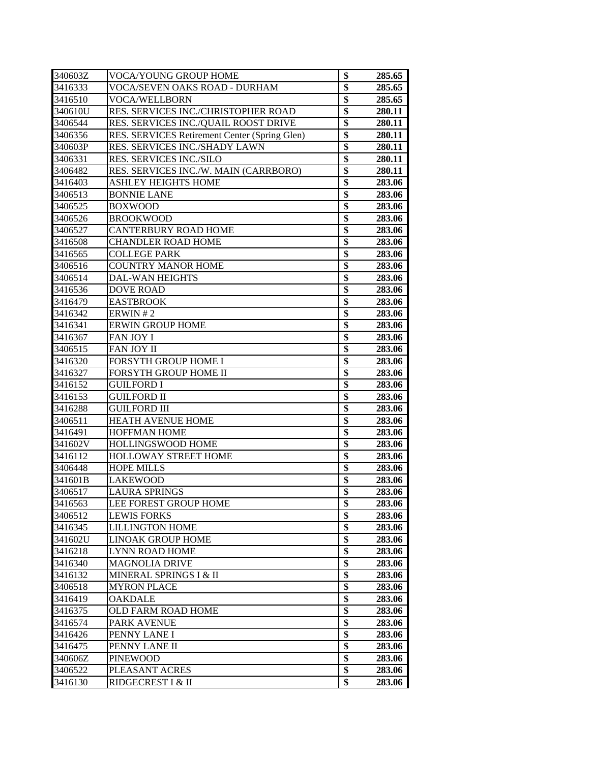| 340603Z | VOCA/YOUNG GROUP HOME                         | \$              | 285.65 |
|---------|-----------------------------------------------|-----------------|--------|
| 3416333 | VOCA/SEVEN OAKS ROAD - DURHAM                 | \$              | 285.65 |
| 3416510 | <b>VOCA/WELLBORN</b>                          | \$              | 285.65 |
| 340610U | RES. SERVICES INC./CHRISTOPHER ROAD           | \$              | 280.11 |
| 3406544 | RES. SERVICES INC./QUAIL ROOST DRIVE          | \$              | 280.11 |
| 3406356 | RES. SERVICES Retirement Center (Spring Glen) | \$              | 280.11 |
| 340603P | RES. SERVICES INC./SHADY LAWN                 | \$              | 280.11 |
| 3406331 | RES. SERVICES INC./SILO                       | \$              | 280.11 |
| 3406482 | RES. SERVICES INC./W. MAIN (CARRBORO)         | \$              | 280.11 |
| 3416403 | <b>ASHLEY HEIGHTS HOME</b>                    | \$              | 283.06 |
| 3406513 | <b>BONNIE LANE</b>                            | \$              | 283.06 |
| 3406525 | <b>BOXWOOD</b>                                | \$              | 283.06 |
| 3406526 | <b>BROOKWOOD</b>                              | \$              | 283.06 |
| 3406527 | CANTERBURY ROAD HOME                          | \$              | 283.06 |
| 3416508 | <b>CHANDLER ROAD HOME</b>                     | \$              | 283.06 |
| 3416565 | <b>COLLEGE PARK</b>                           | $\overline{\$}$ | 283.06 |
| 3406516 | <b>COUNTRY MANOR HOME</b>                     | \$              | 283.06 |
| 3406514 | <b>DAL-WAN HEIGHTS</b>                        | \$              | 283.06 |
| 3416536 | <b>DOVE ROAD</b>                              | \$              | 283.06 |
| 3416479 | <b>EASTBROOK</b>                              | \$              | 283.06 |
| 3416342 | ERWIN#2                                       | \$              | 283.06 |
| 3416341 | <b>ERWIN GROUP HOME</b>                       | \$              | 283.06 |
| 3416367 | <b>FAN JOY I</b>                              | \$              | 283.06 |
| 3406515 | <b>FAN JOY II</b>                             | \$              | 283.06 |
| 3416320 | FORSYTH GROUP HOME I                          | \$              | 283.06 |
| 3416327 | FORSYTH GROUP HOME II                         | \$              | 283.06 |
| 3416152 | <b>GUILFORD I</b>                             | \$              | 283.06 |
| 3416153 | <b>GUILFORD II</b>                            | \$              | 283.06 |
| 3416288 | <b>GUILFORD III</b>                           | \$              | 283.06 |
| 3406511 | <b>HEATH AVENUE HOME</b>                      | \$              | 283.06 |
| 3416491 | <b>HOFFMAN HOME</b>                           | \$              | 283.06 |
| 341602V | HOLLINGSWOOD HOME                             | \$              | 283.06 |
| 3416112 | <b>HOLLOWAY STREET HOME</b>                   | $\overline{\$}$ | 283.06 |
| 3406448 | <b>HOPE MILLS</b>                             | \$              | 283.06 |
| 341601B | <b>LAKEWOOD</b>                               | \$              | 283.06 |
| 3406517 | <b>LAURA SPRINGS</b>                          | \$              | 283.06 |
| 3416563 | LEE FOREST GROUP HOME                         | \$              | 283.06 |
| 3406512 | <b>LEWIS FORKS</b>                            | \$              | 283.06 |
| 3416345 | <b>LILLINGTON HOME</b>                        | \$              | 283.06 |
| 341602U | LINOAK GROUP HOME                             | \$              | 283.06 |
| 3416218 | <b>LYNN ROAD HOME</b>                         | \$              | 283.06 |
| 3416340 | <b>MAGNOLIA DRIVE</b>                         | \$              | 283.06 |
| 3416132 | MINERAL SPRINGS I & II                        | \$              | 283.06 |
| 3406518 | <b>MYRON PLACE</b>                            | \$              | 283.06 |
| 3416419 | <b>OAKDALE</b>                                | $\overline{\$}$ | 283.06 |
| 3416375 | OLD FARM ROAD HOME                            | \$              | 283.06 |
| 3416574 | PARK AVENUE                                   | \$              | 283.06 |
| 3416426 | PENNY LANE I                                  | $\overline{\$}$ | 283.06 |
| 3416475 | PENNY LANE II                                 | $\overline{\$}$ | 283.06 |
| 340606Z | <b>PINEWOOD</b>                               | \$              | 283.06 |
| 3406522 | PLEASANT ACRES                                | \$              | 283.06 |
| 3416130 | RIDGECREST I & II                             | \$              | 283.06 |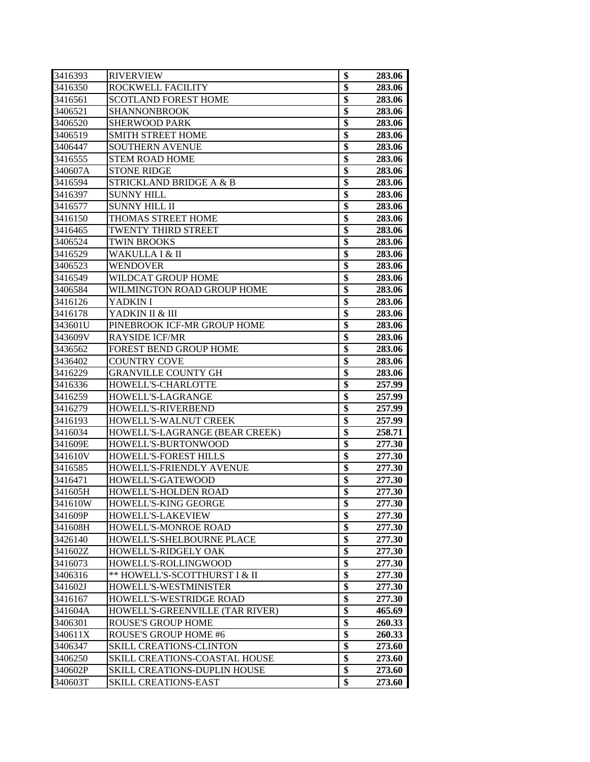| 3416393 | <b>RIVERVIEW</b>                | \$                      | 283.06 |
|---------|---------------------------------|-------------------------|--------|
| 3416350 | ROCKWELL FACILITY               | \$                      | 283.06 |
| 3416561 | <b>SCOTLAND FOREST HOME</b>     | $\overline{\$}$         | 283.06 |
| 3406521 | SHANNONBROOK                    | $\overline{\$}$         | 283.06 |
| 3406520 | <b>SHERWOOD PARK</b>            | \$                      | 283.06 |
| 3406519 | <b>SMITH STREET HOME</b>        | \$                      | 283.06 |
| 3406447 | <b>SOUTHERN AVENUE</b>          | \$                      | 283.06 |
| 3416555 | <b>STEM ROAD HOME</b>           | \$                      | 283.06 |
| 340607A | <b>STONE RIDGE</b>              | $\overline{\$}$         | 283.06 |
| 3416594 | STRICKLAND BRIDGE A & B         | $\overline{\$}$         | 283.06 |
| 3416397 | <b>SUNNY HILL</b>               | \$                      | 283.06 |
| 3416577 | <b>SUNNY HILL II</b>            | $\overline{\$}$         | 283.06 |
| 3416150 | THOMAS STREET HOME              | \$                      | 283.06 |
| 3416465 | <b>TWENTY THIRD STREET</b>      | $\overline{\$}$         | 283.06 |
| 3406524 | <b>TWIN BROOKS</b>              | \$                      | 283.06 |
| 3416529 | WAKULLA I & II                  | $\overline{\$}$         | 283.06 |
| 3406523 | WENDOVER                        | $\overline{\$}$         | 283.06 |
| 3416549 | WILDCAT GROUP HOME              | $\overline{\$}$         | 283.06 |
| 3406584 | WILMINGTON ROAD GROUP HOME      | \$                      | 283.06 |
| 3416126 | YADKIN I                        | $\overline{\$}$         | 283.06 |
| 3416178 | YADKIN II & III                 | \$                      | 283.06 |
| 343601U | PINEBROOK ICF-MR GROUP HOME     | $\overline{\$}$         | 283.06 |
| 343609V | <b>RAYSIDE ICF/MR</b>           | \$                      | 283.06 |
| 3436562 | <b>FOREST BEND GROUP HOME</b>   | $\overline{\$}$         | 283.06 |
| 3436402 | <b>COUNTRY COVE</b>             | $\overline{\$}$         | 283.06 |
| 3416229 | <b>GRANVILLE COUNTY GH</b>      | $\overline{\$}$         | 283.06 |
| 3416336 | HOWELL'S-CHARLOTTE              | \$                      | 257.99 |
| 3416259 | HOWELL'S-LAGRANGE               | $\overline{\$}$         | 257.99 |
| 3416279 | HOWELL'S-RIVERBEND              | $\overline{\$}$         | 257.99 |
| 3416193 | HOWELL'S-WALNUT CREEK           | \$                      | 257.99 |
| 3416034 | HOWELL'S-LAGRANGE (BEAR CREEK)  | $\overline{\mathbf{s}}$ | 258.71 |
| 341609E | HOWELL'S-BURTONWOOD             | \$                      | 277.30 |
| 341610V | <b>HOWELL'S-FOREST HILLS</b>    | $\overline{\$}$         | 277.30 |
| 3416585 | HOWELL'S-FRIENDLY AVENUE        | $\overline{\$}$         | 277.30 |
| 3416471 | HOWELL'S-GATEWOOD               | $\overline{\$}$         | 277.30 |
| 341605H | <b>HOWELL'S-HOLDEN ROAD</b>     | \$                      | 277.30 |
| 341610W | HOWELL'S-KING GEORGE            | \$                      | 277.30 |
| 341609P | HOWELL'S-LAKEVIEW               | \$                      | 277.30 |
| 341608H | HOWELL'S-MONROE ROAD            | \$                      | 277.30 |
| 3426140 | HOWELL'S-SHELBOURNE PLACE       | \$                      | 277.30 |
| 341602Z | HOWELL'S-RIDGELY OAK            | $\overline{\$}$         | 277.30 |
| 3416073 | HOWELL'S-ROLLINGWOOD            | $\overline{\$}$         | 277.30 |
| 3406316 | ** HOWELL'S-SCOTTHURST I & II   | $\overline{\$}$         | 277.30 |
| 341602J | HOWELL'S-WESTMINISTER           | \$                      | 277.30 |
| 3416167 | HOWELL'S-WESTRIDGE ROAD         | $\overline{\$}$         | 277.30 |
| 341604A | HOWELL'S-GREENVILLE (TAR RIVER) | $\overline{\$}$         | 465.69 |
| 3406301 | <b>ROUSE'S GROUP HOME</b>       | $\overline{\$}$         | 260.33 |
| 340611X | <b>ROUSE'S GROUP HOME #6</b>    | $\overline{\$}$         | 260.33 |
| 3406347 | SKILL CREATIONS-CLINTON         | $\overline{\$}$         | 273.60 |
| 3406250 | SKILL CREATIONS-COASTAL HOUSE   | $\overline{\$}$         | 273.60 |
| 340602P | SKILL CREATIONS-DUPLIN HOUSE    | $\overline{\$}$         | 273.60 |
| 340603T | <b>SKILL CREATIONS-EAST</b>     | \$                      | 273.60 |